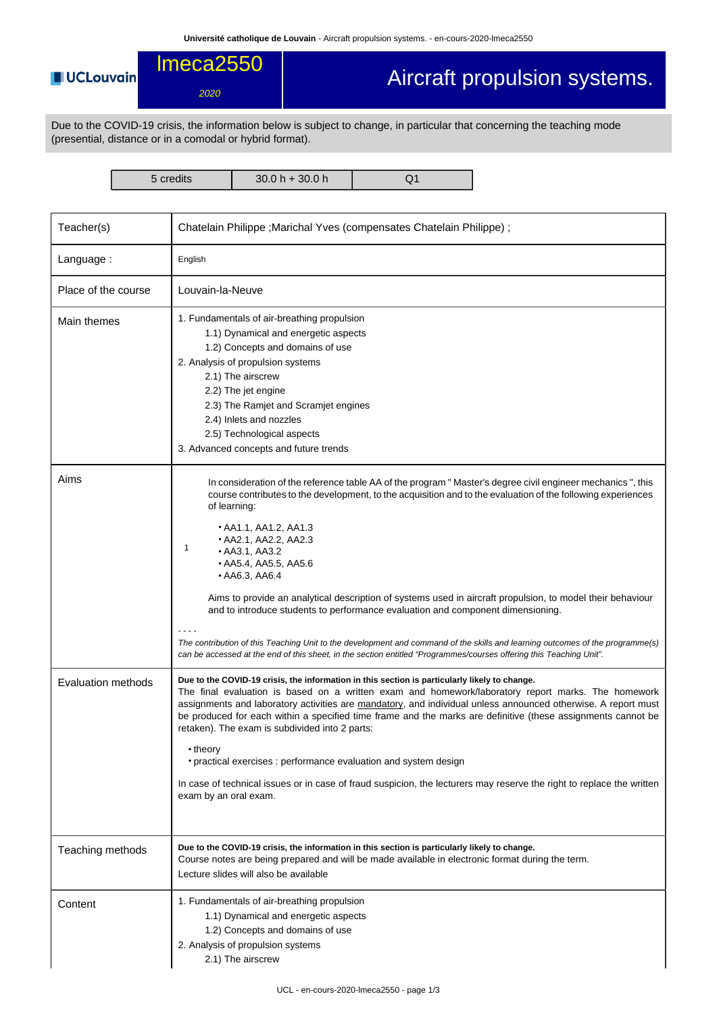## **UCLouvain**

2020

lmeca2550

## Aircraft propulsion systems.

Due to the COVID-19 crisis, the information below is subject to change, in particular that concerning the teaching mode (presential, distance or in a comodal or hybrid format).

5 credits 30.0 h + 30.0 h Q1

| Teacher(s)          | Chatelain Philippe ; Marichal Yves (compensates Chatelain Philippe) ;                                                                                                                                                                                                                                                                                                                                                                                                                                                                                                                                                                                                                                                                                                                                                           |  |  |  |  |
|---------------------|---------------------------------------------------------------------------------------------------------------------------------------------------------------------------------------------------------------------------------------------------------------------------------------------------------------------------------------------------------------------------------------------------------------------------------------------------------------------------------------------------------------------------------------------------------------------------------------------------------------------------------------------------------------------------------------------------------------------------------------------------------------------------------------------------------------------------------|--|--|--|--|
| Language:           | English                                                                                                                                                                                                                                                                                                                                                                                                                                                                                                                                                                                                                                                                                                                                                                                                                         |  |  |  |  |
| Place of the course | Louvain-la-Neuve                                                                                                                                                                                                                                                                                                                                                                                                                                                                                                                                                                                                                                                                                                                                                                                                                |  |  |  |  |
| Main themes         | 1. Fundamentals of air-breathing propulsion<br>1.1) Dynamical and energetic aspects<br>1.2) Concepts and domains of use<br>2. Analysis of propulsion systems<br>2.1) The airscrew<br>2.2) The jet engine<br>2.3) The Ramjet and Scramjet engines<br>2.4) Inlets and nozzles<br>2.5) Technological aspects<br>3. Advanced concepts and future trends                                                                                                                                                                                                                                                                                                                                                                                                                                                                             |  |  |  |  |
| Aims                | In consideration of the reference table AA of the program "Master's degree civil engineer mechanics", this<br>course contributes to the development, to the acquisition and to the evaluation of the following experiences<br>of learning:<br>$\bullet$ AA1.1, AA1.2, AA1.3<br>• AA2.1, AA2.2, AA2.3<br>1<br>• AA3.1, AA3.2<br>• AA5.4, AA5.5, AA5.6<br>• AA6.3, AA6.4<br>Aims to provide an analytical description of systems used in aircraft propulsion, to model their behaviour<br>and to introduce students to performance evaluation and component dimensioning.<br>The contribution of this Teaching Unit to the development and command of the skills and learning outcomes of the programme(s)<br>can be accessed at the end of this sheet, in the section entitled "Programmes/courses offering this Teaching Unit". |  |  |  |  |
| Evaluation methods  | Due to the COVID-19 crisis, the information in this section is particularly likely to change.<br>The final evaluation is based on a written exam and homework/laboratory report marks. The homework<br>assignments and laboratory activities are mandatory, and individual unless announced otherwise. A report must<br>be produced for each within a specified time frame and the marks are definitive (these assignments cannot be<br>retaken). The exam is subdivided into 2 parts:<br>• theory<br>• practical exercises : performance evaluation and system design<br>In case of technical issues or in case of fraud suspicion, the lecturers may reserve the right to replace the written<br>exam by an oral exam.                                                                                                        |  |  |  |  |
| Teaching methods    | Due to the COVID-19 crisis, the information in this section is particularly likely to change.<br>Course notes are being prepared and will be made available in electronic format during the term.<br>Lecture slides will also be available                                                                                                                                                                                                                                                                                                                                                                                                                                                                                                                                                                                      |  |  |  |  |
| Content             | 1. Fundamentals of air-breathing propulsion<br>1.1) Dynamical and energetic aspects<br>1.2) Concepts and domains of use<br>2. Analysis of propulsion systems<br>2.1) The airscrew                                                                                                                                                                                                                                                                                                                                                                                                                                                                                                                                                                                                                                               |  |  |  |  |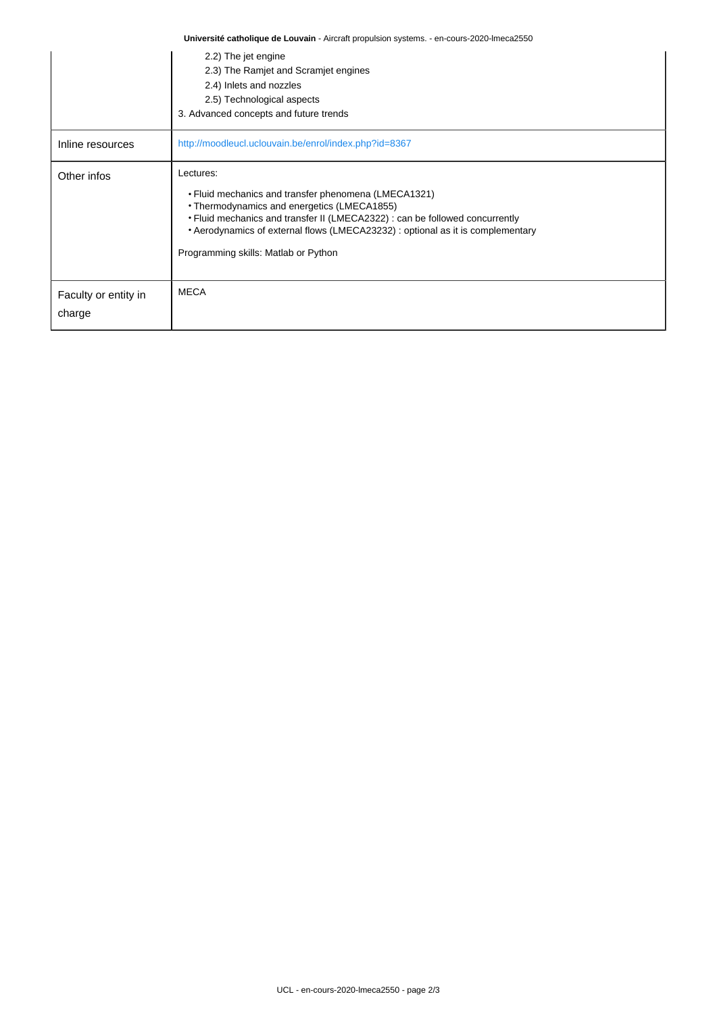| Université catholique de Louvain - Aircraft propulsion systems. - en-cours-2020-lmeca2550 |                                                                                                                                                                                                                                                                                                                             |  |  |  |  |
|-------------------------------------------------------------------------------------------|-----------------------------------------------------------------------------------------------------------------------------------------------------------------------------------------------------------------------------------------------------------------------------------------------------------------------------|--|--|--|--|
|                                                                                           | 2.2) The jet engine<br>2.3) The Ramjet and Scramjet engines<br>2.4) Inlets and nozzles<br>2.5) Technological aspects<br>3. Advanced concepts and future trends                                                                                                                                                              |  |  |  |  |
| Inline resources                                                                          | http://moodleucl.uclouvain.be/enrol/index.php?id=8367                                                                                                                                                                                                                                                                       |  |  |  |  |
| Other infos                                                                               | Lectures:<br>• Fluid mechanics and transfer phenomena (LMECA1321)<br>• Thermodynamics and energetics (LMECA1855)<br>• Fluid mechanics and transfer II (LMECA2322) : can be followed concurrently<br>• Aerodynamics of external flows (LMECA23232) : optional as it is complementary<br>Programming skills: Matlab or Python |  |  |  |  |
| Faculty or entity in<br>charge                                                            | <b>MECA</b>                                                                                                                                                                                                                                                                                                                 |  |  |  |  |